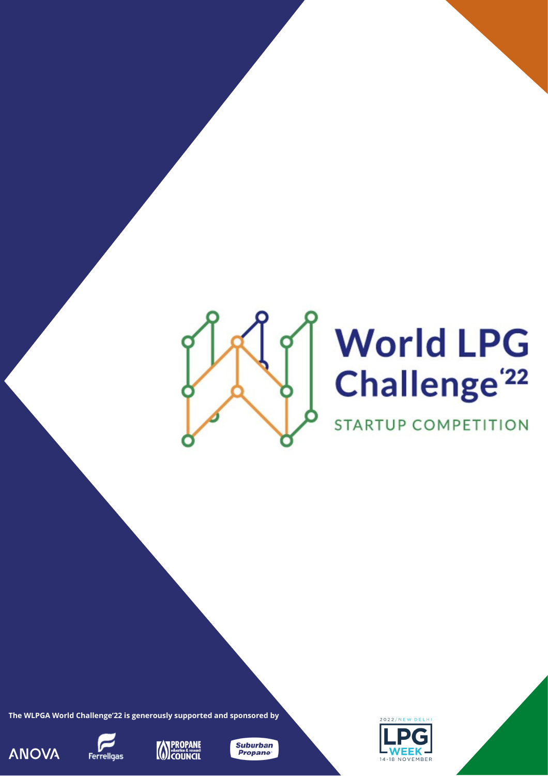

# **World LPG** Challenge<sup>'22</sup>

**STARTUP COMPETITION** 

**The WLPGA World Challenge'22 is generously supported and sponsored by**









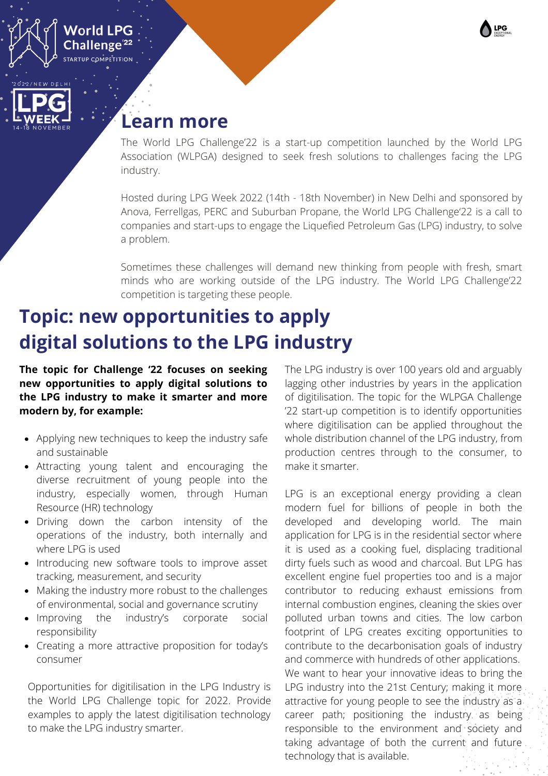





The World LPG Challenge'22 is a start-up competition launched by the World LPG Association (WLPGA) designed to seek fresh solutions to challenges facing the LPG industry.

Hosted during LPG Week 2022 (14th - 18th November) in New Delhi and sponsored by Anova, Ferrellgas, PERC and Suburban Propane, the World LPG Challenge'22 is a call to companies and start-ups to engage the Liquefied Petroleum Gas (LPG) industry, to solve a problem.

Sometimes these challenges will demand new thinking from people with fresh, smart minds who are working outside of the LPG industry. The World LPG Challenge'22 competition is targeting these people.

## **Topic: new opportunities to apply digital solutions to the LPG industry**

**The topic for Challenge '22 focuses on seeking new opportunities to apply digital solutions to the LPG industry to make it smarter and more modern by, for example:**

- Applying new techniques to keep the industry safe and sustainable
- Attracting young talent and encouraging the diverse recruitment of young people into the industry, especially women, through Human Resource (HR) technology
- Driving down the carbon intensity of the operations of the industry, both internally and where LPG is used
- Introducing new software tools to improve asset tracking, measurement, and security
- Making the industry more robust to the challenges of environmental, social and governance scrutiny
- Improving the industry's corporate social responsibility
- Creating a more attractive proposition for today's consumer

Opportunities for digitilisation in the LPG Industry is the World LPG Challenge topic for 2022. Provide examples to apply the latest digitilisation technology to make the LPG industry smarter.

The LPG industry is over 100 years old and arguably lagging other industries by years in the application of digitilisation. The topic for the WLPGA Challenge '22 start-up competition is to identify opportunities where digitilisation can be applied throughout the whole distribution channel of the LPG industry, from production centres through to the consumer, to make it smarter.

LPG is an exceptional energy providing a clean modern fuel for billions of people in both the developed and developing world. The main application for LPG is in the residential sector where it is used as a cooking fuel, displacing traditional dirty fuels such as wood and charcoal. But LPG has excellent engine fuel properties too and is a major contributor to reducing exhaust emissions from internal combustion engines, cleaning the skies over polluted urban towns and cities. The low carbon footprint of LPG creates exciting opportunities to contribute to the decarbonisation goals of industry and commerce with hundreds of other applications. We want to hear your innovative ideas to bring the LPG industry into the 21st Century; making it more attractive for young people to see the industry as a career path; positioning the industry as being responsible to the environment and society and taking advantage of both the current and future technology that is available.